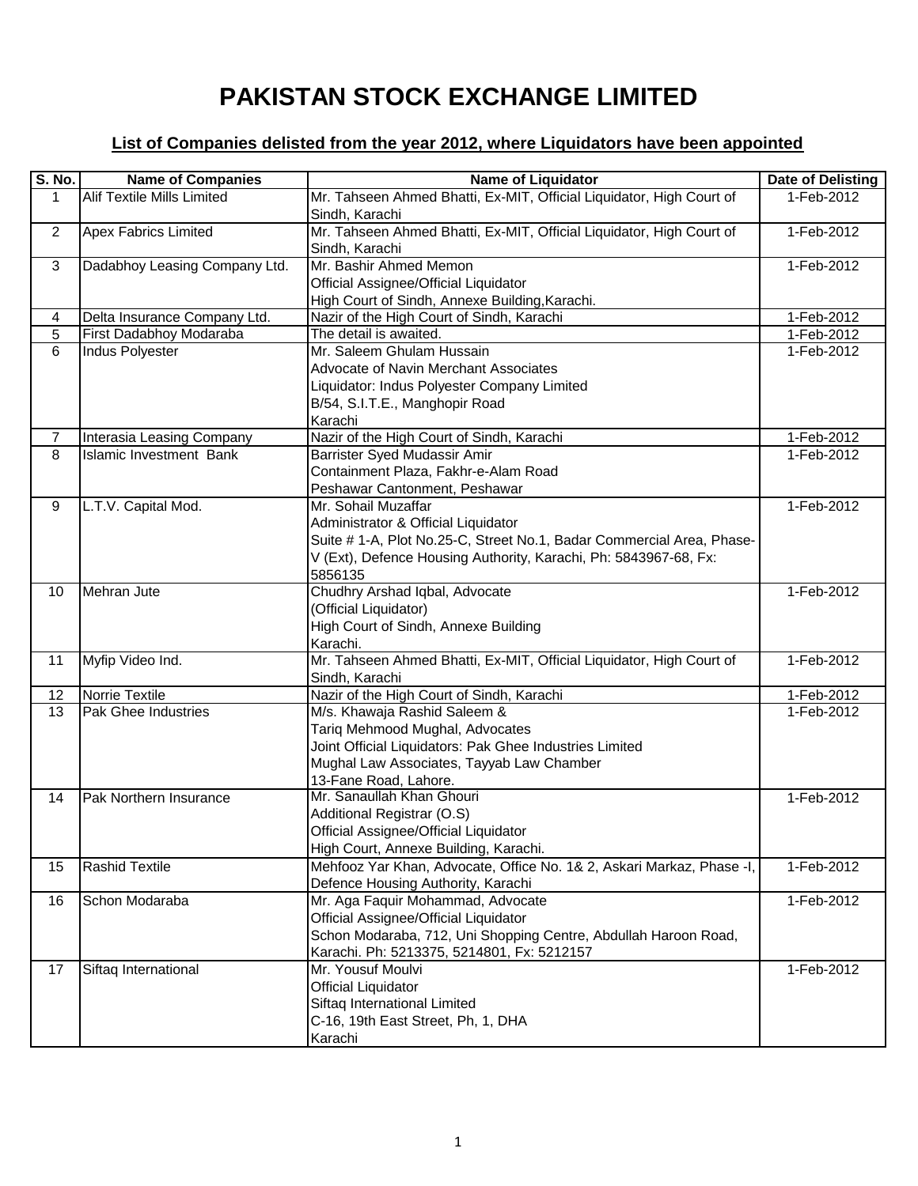## **PAKISTAN STOCK EXCHANGE LIMITED**

## **List of Companies delisted from the year 2012, where Liquidators have been appointed**

| <b>S. No.</b>  | <b>Name of Companies</b>          | <b>Name of Liquidator</b>                                                                                                                                                                                          | <b>Date of Delisting</b> |
|----------------|-----------------------------------|--------------------------------------------------------------------------------------------------------------------------------------------------------------------------------------------------------------------|--------------------------|
| 1              | <b>Alif Textile Mills Limited</b> | Mr. Tahseen Ahmed Bhatti, Ex-MIT, Official Liquidator, High Court of<br>Sindh, Karachi                                                                                                                             | 1-Feb-2012               |
| $\overline{2}$ | <b>Apex Fabrics Limited</b>       | Mr. Tahseen Ahmed Bhatti, Ex-MIT, Official Liquidator, High Court of<br>Sindh, Karachi                                                                                                                             | 1-Feb-2012               |
| 3              | Dadabhoy Leasing Company Ltd.     | Mr. Bashir Ahmed Memon<br>Official Assignee/Official Liquidator<br>High Court of Sindh, Annexe Building, Karachi.                                                                                                  | 1-Feb-2012               |
| 4              | Delta Insurance Company Ltd.      | Nazir of the High Court of Sindh, Karachi                                                                                                                                                                          | 1-Feb-2012               |
| 5              | First Dadabhoy Modaraba           | The detail is awaited.                                                                                                                                                                                             | 1-Feb-2012               |
| 6              | <b>Indus Polyester</b>            | Mr. Saleem Ghulam Hussain<br>Advocate of Navin Merchant Associates<br>Liquidator: Indus Polyester Company Limited<br>B/54, S.I.T.E., Manghopir Road<br>Karachi                                                     | 1-Feb-2012               |
| 7              | <b>Interasia Leasing Company</b>  | Nazir of the High Court of Sindh, Karachi                                                                                                                                                                          | 1-Feb-2012               |
| 8              | <b>Islamic Investment Bank</b>    | Barrister Syed Mudassir Amir<br>Containment Plaza, Fakhr-e-Alam Road<br>Peshawar Cantonment, Peshawar                                                                                                              | 1-Feb-2012               |
| 9              | L.T.V. Capital Mod.               | Mr. Sohail Muzaffar<br>Administrator & Official Liquidator<br>Suite # 1-A, Plot No.25-C, Street No.1, Badar Commercial Area, Phase-<br>V (Ext), Defence Housing Authority, Karachi, Ph: 5843967-68, Fx:<br>5856135 | 1-Feb-2012               |
| 10             | Mehran Jute                       | Chudhry Arshad Iqbal, Advocate<br>(Official Liquidator)<br>High Court of Sindh, Annexe Building<br>Karachi.                                                                                                        | 1-Feb-2012               |
| 11             | Myfip Video Ind.                  | Mr. Tahseen Ahmed Bhatti, Ex-MIT, Official Liquidator, High Court of<br>Sindh, Karachi                                                                                                                             | 1-Feb-2012               |
| 12             | Norrie Textile                    | Nazir of the High Court of Sindh, Karachi                                                                                                                                                                          | 1-Feb-2012               |
| 13             | <b>Pak Ghee Industries</b>        | M/s. Khawaja Rashid Saleem &<br>Tariq Mehmood Mughal, Advocates<br>Joint Official Liquidators: Pak Ghee Industries Limited<br>Mughal Law Associates, Tayyab Law Chamber<br>13-Fane Road, Lahore.                   | 1-Feb-2012               |
| 14             | Pak Northern Insurance            | Mr. Sanaullah Khan Ghouri<br>Additional Registrar (O.S)<br>Official Assignee/Official Liquidator<br>High Court, Annexe Building, Karachi.                                                                          | 1-Feb-2012               |
| 15             | <b>Rashid Textile</b>             | Mehfooz Yar Khan, Advocate, Office No. 1& 2, Askari Markaz, Phase -I,<br>Defence Housing Authority, Karachi                                                                                                        | 1-Feb-2012               |
| 16             | Schon Modaraba                    | Mr. Aga Faquir Mohammad, Advocate<br>Official Assignee/Official Liquidator<br>Schon Modaraba, 712, Uni Shopping Centre, Abdullah Haroon Road,<br>Karachi. Ph: 5213375, 5214801, Fx: 5212157                        | 1-Feb-2012               |
| 17             | Siftaq International              | Mr. Yousuf Moulvi<br><b>Official Liquidator</b><br>Siftaq International Limited<br>C-16, 19th East Street, Ph, 1, DHA<br>Karachi                                                                                   | 1-Feb-2012               |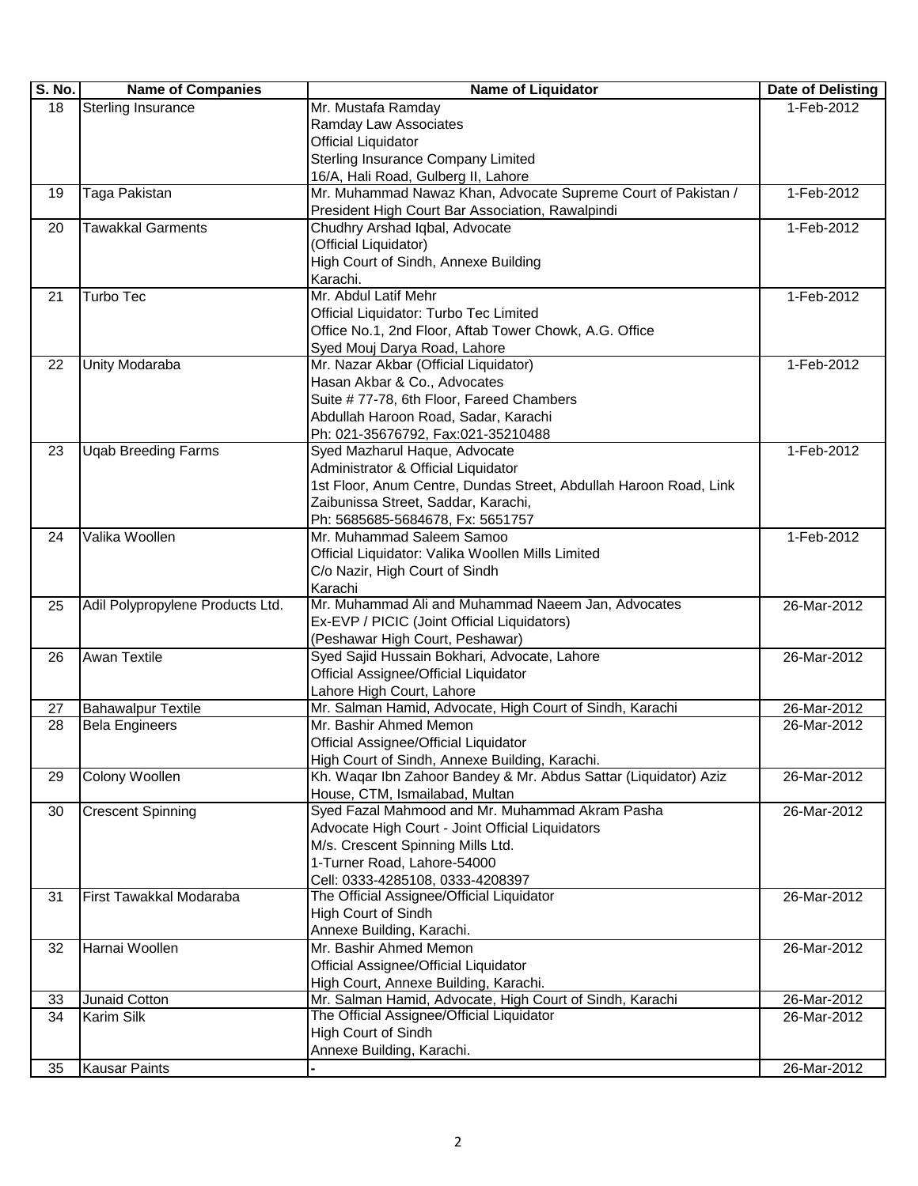| S. No.   | <b>Name of Companies</b>         | <b>Name of Liquidator</b>                                                             | Date of Delisting |
|----------|----------------------------------|---------------------------------------------------------------------------------------|-------------------|
| 18       | <b>Sterling Insurance</b>        | Mr. Mustafa Ramday                                                                    | 1-Feb-2012        |
|          |                                  | Ramday Law Associates                                                                 |                   |
|          |                                  | <b>Official Liquidator</b>                                                            |                   |
|          |                                  | Sterling Insurance Company Limited                                                    |                   |
|          |                                  | 16/A, Hali Road, Gulberg II, Lahore                                                   |                   |
| 19       | Taga Pakistan                    | Mr. Muhammad Nawaz Khan, Advocate Supreme Court of Pakistan /                         | 1-Feb-2012        |
|          |                                  | President High Court Bar Association, Rawalpindi                                      |                   |
| 20       | <b>Tawakkal Garments</b>         | Chudhry Arshad Iqbal, Advocate                                                        | 1-Feb-2012        |
|          |                                  | (Official Liquidator)                                                                 |                   |
|          |                                  | High Court of Sindh, Annexe Building                                                  |                   |
|          |                                  | Karachi.                                                                              |                   |
| 21       | Turbo Tec                        | Mr. Abdul Latif Mehr                                                                  | 1-Feb-2012        |
|          |                                  | Official Liquidator: Turbo Tec Limited                                                |                   |
|          |                                  | Office No.1, 2nd Floor, Aftab Tower Chowk, A.G. Office                                |                   |
|          |                                  | Syed Mouj Darya Road, Lahore                                                          |                   |
| 22       | Unity Modaraba                   | Mr. Nazar Akbar (Official Liquidator)                                                 | 1-Feb-2012        |
|          |                                  | Hasan Akbar & Co., Advocates                                                          |                   |
|          |                                  | Suite # 77-78, 6th Floor, Fareed Chambers                                             |                   |
|          |                                  | Abdullah Haroon Road, Sadar, Karachi                                                  |                   |
|          |                                  | Ph: 021-35676792, Fax:021-35210488                                                    |                   |
| 23       | <b>Ugab Breeding Farms</b>       | Syed Mazharul Haque, Advocate                                                         | 1-Feb-2012        |
|          |                                  | Administrator & Official Liquidator                                                   |                   |
|          |                                  | 1st Floor, Anum Centre, Dundas Street, Abdullah Haroon Road, Link                     |                   |
|          |                                  | Zaibunissa Street, Saddar, Karachi,                                                   |                   |
|          |                                  | Ph: 5685685-5684678, Fx: 5651757                                                      |                   |
| 24       | Valika Woollen                   | Mr. Muhammad Saleem Samoo                                                             | 1-Feb-2012        |
|          |                                  | Official Liquidator: Valika Woollen Mills Limited                                     |                   |
|          |                                  | C/o Nazir, High Court of Sindh                                                        |                   |
|          |                                  | Karachi                                                                               |                   |
| 25       | Adil Polypropylene Products Ltd. | Mr. Muhammad Ali and Muhammad Naeem Jan, Advocates                                    | 26-Mar-2012       |
|          |                                  | Ex-EVP / PICIC (Joint Official Liquidators)                                           |                   |
|          |                                  | (Peshawar High Court, Peshawar)<br>Syed Sajid Hussain Bokhari, Advocate, Lahore       |                   |
| 26       | <b>Awan Textile</b>              | Official Assignee/Official Liquidator                                                 | 26-Mar-2012       |
|          |                                  |                                                                                       |                   |
|          | <b>Bahawalpur Textile</b>        | Lahore High Court, Lahore<br>Mr. Salman Hamid, Advocate, High Court of Sindh, Karachi | 26-Mar-2012       |
| 27<br>28 | <b>Bela Engineers</b>            | Mr. Bashir Ahmed Memon                                                                | 26-Mar-2012       |
|          |                                  | Official Assignee/Official Liquidator                                                 |                   |
|          |                                  | High Court of Sindh, Annexe Building, Karachi.                                        |                   |
| 29       | <b>Colony Woollen</b>            | Kh. Waqar Ibn Zahoor Bandey & Mr. Abdus Sattar (Liquidator) Aziz                      | 26-Mar-2012       |
|          |                                  | House, CTM, Ismailabad, Multan                                                        |                   |
| 30       | <b>Crescent Spinning</b>         | Syed Fazal Mahmood and Mr. Muhammad Akram Pasha                                       | 26-Mar-2012       |
|          |                                  | Advocate High Court - Joint Official Liquidators                                      |                   |
|          |                                  | M/s. Crescent Spinning Mills Ltd.                                                     |                   |
|          |                                  | 1-Turner Road, Lahore-54000                                                           |                   |
|          |                                  | Cell: 0333-4285108, 0333-4208397                                                      |                   |
| 31       | First Tawakkal Modaraba          | The Official Assignee/Official Liquidator                                             | 26-Mar-2012       |
|          |                                  | High Court of Sindh                                                                   |                   |
|          |                                  | Annexe Building, Karachi.                                                             |                   |
| 32       | Harnai Woollen                   | Mr. Bashir Ahmed Memon                                                                | 26-Mar-2012       |
|          |                                  | Official Assignee/Official Liquidator                                                 |                   |
|          |                                  | High Court, Annexe Building, Karachi.                                                 |                   |
| 33       | Junaid Cotton                    | Mr. Salman Hamid, Advocate, High Court of Sindh, Karachi                              | 26-Mar-2012       |
| 34       | Karim Silk                       | The Official Assignee/Official Liquidator                                             | 26-Mar-2012       |
|          |                                  | High Court of Sindh                                                                   |                   |
|          |                                  | Annexe Building, Karachi.                                                             |                   |
| 35       | <b>Kausar Paints</b>             |                                                                                       | 26-Mar-2012       |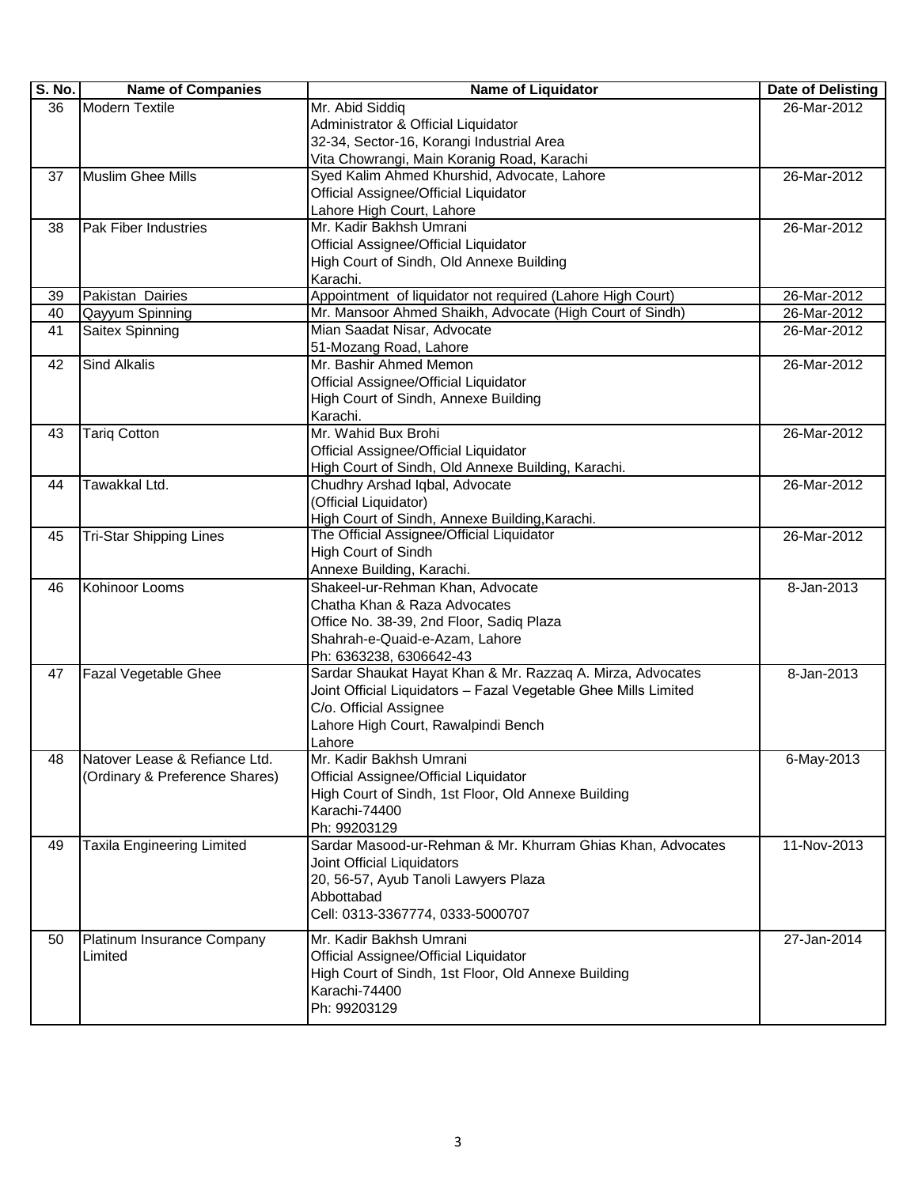| S. No. | <b>Name of Companies</b>          | <b>Name of Liquidator</b>                                                   | Date of Delisting |
|--------|-----------------------------------|-----------------------------------------------------------------------------|-------------------|
| 36     | <b>Modern Textile</b>             | Mr. Abid Siddiq                                                             | 26-Mar-2012       |
|        |                                   | Administrator & Official Liquidator                                         |                   |
|        |                                   | 32-34, Sector-16, Korangi Industrial Area                                   |                   |
|        |                                   | Vita Chowrangi, Main Koranig Road, Karachi                                  |                   |
| 37     | Muslim Ghee Mills                 | Syed Kalim Ahmed Khurshid, Advocate, Lahore                                 | 26-Mar-2012       |
|        |                                   | Official Assignee/Official Liquidator                                       |                   |
|        |                                   | Lahore High Court, Lahore                                                   |                   |
| 38     | <b>Pak Fiber Industries</b>       | Mr. Kadir Bakhsh Umrani                                                     | 26-Mar-2012       |
|        |                                   | Official Assignee/Official Liquidator                                       |                   |
|        |                                   | High Court of Sindh, Old Annexe Building                                    |                   |
|        |                                   | Karachi.                                                                    |                   |
| 39     | Pakistan Dairies                  | Appointment of liquidator not required (Lahore High Court)                  | 26-Mar-2012       |
| 40     | Qayyum Spinning                   | Mr. Mansoor Ahmed Shaikh, Advocate (High Court of Sindh)                    | 26-Mar-2012       |
| 41     | Saitex Spinning                   | Mian Saadat Nisar, Advocate                                                 | 26-Mar-2012       |
|        |                                   | 51-Mozang Road, Lahore                                                      |                   |
| 42     | <b>Sind Alkalis</b>               | Mr. Bashir Ahmed Memon                                                      | 26-Mar-2012       |
|        |                                   | Official Assignee/Official Liquidator                                       |                   |
|        |                                   | High Court of Sindh, Annexe Building                                        |                   |
|        |                                   | Karachi.                                                                    |                   |
| 43     | <b>Tarig Cotton</b>               | Mr. Wahid Bux Brohi                                                         | 26-Mar-2012       |
|        |                                   | Official Assignee/Official Liquidator                                       |                   |
|        |                                   | High Court of Sindh, Old Annexe Building, Karachi.                          |                   |
| 44     | Tawakkal Ltd.                     | Chudhry Arshad Iqbal, Advocate                                              | 26-Mar-2012       |
|        |                                   | (Official Liquidator)                                                       |                   |
|        |                                   | High Court of Sindh, Annexe Building, Karachi.                              |                   |
| 45     | <b>Tri-Star Shipping Lines</b>    | The Official Assignee/Official Liquidator                                   | 26-Mar-2012       |
|        |                                   | High Court of Sindh                                                         |                   |
|        |                                   | Annexe Building, Karachi.                                                   |                   |
| 46     | Kohinoor Looms                    | Shakeel-ur-Rehman Khan, Advocate                                            | 8-Jan-2013        |
|        |                                   | Chatha Khan & Raza Advocates                                                |                   |
|        |                                   | Office No. 38-39, 2nd Floor, Sadiq Plaza                                    |                   |
|        |                                   | Shahrah-e-Quaid-e-Azam, Lahore                                              |                   |
|        |                                   | Ph: 6363238, 6306642-43                                                     |                   |
| 47     | Fazal Vegetable Ghee              | Sardar Shaukat Hayat Khan & Mr. Razzaq A. Mirza, Advocates                  | 8-Jan-2013        |
|        |                                   | Joint Official Liquidators - Fazal Vegetable Ghee Mills Limited             |                   |
|        |                                   | C/o. Official Assignee                                                      |                   |
|        |                                   | Lahore High Court, Rawalpindi Bench                                         |                   |
|        |                                   | Lahore                                                                      |                   |
| 48     | Natover Lease & Refiance Ltd.     | Mr. Kadir Bakhsh Umrani                                                     | 6-May-2013        |
|        | (Ordinary & Preference Shares)    | Official Assignee/Official Liquidator                                       |                   |
|        |                                   | High Court of Sindh, 1st Floor, Old Annexe Building                         |                   |
|        |                                   | Karachi-74400                                                               |                   |
| 49     |                                   | Ph: 99203129<br>Sardar Masood-ur-Rehman & Mr. Khurram Ghias Khan, Advocates | 11-Nov-2013       |
|        | <b>Taxila Engineering Limited</b> | Joint Official Liquidators                                                  |                   |
|        |                                   | 20, 56-57, Ayub Tanoli Lawyers Plaza                                        |                   |
|        |                                   | Abbottabad                                                                  |                   |
|        |                                   | Cell: 0313-3367774, 0333-5000707                                            |                   |
|        |                                   |                                                                             |                   |
| 50     | Platinum Insurance Company        | Mr. Kadir Bakhsh Umrani                                                     | 27-Jan-2014       |
|        | Limited                           | Official Assignee/Official Liquidator                                       |                   |
|        |                                   | High Court of Sindh, 1st Floor, Old Annexe Building                         |                   |
|        |                                   | Karachi-74400                                                               |                   |
|        |                                   | Ph: 99203129                                                                |                   |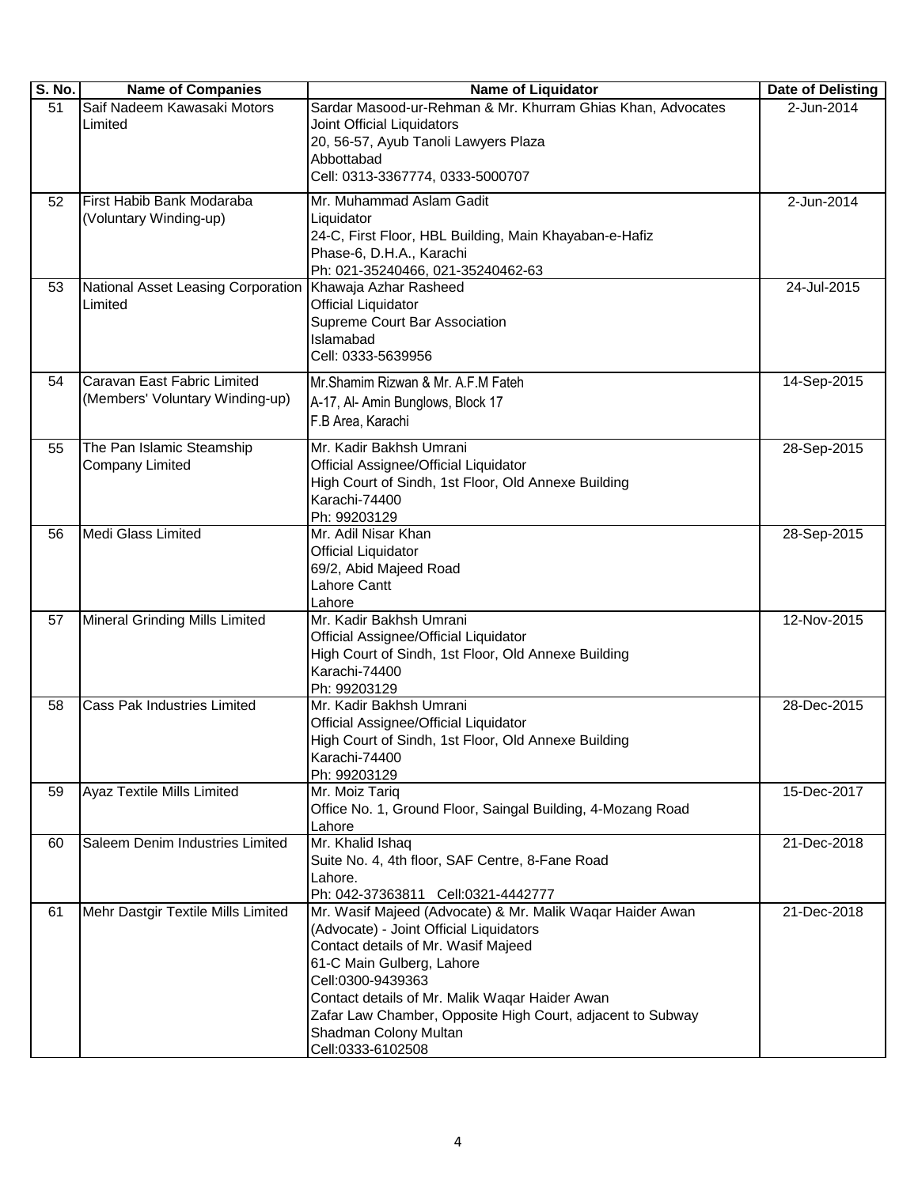| S. No. | <b>Name of Companies</b>           | <b>Name of Liquidator</b>                                                                                    | Date of Delisting |
|--------|------------------------------------|--------------------------------------------------------------------------------------------------------------|-------------------|
| 51     | Saif Nadeem Kawasaki Motors        | Sardar Masood-ur-Rehman & Mr. Khurram Ghias Khan, Advocates                                                  | 2-Jun-2014        |
|        | Limited                            | Joint Official Liquidators                                                                                   |                   |
|        |                                    | 20, 56-57, Ayub Tanoli Lawyers Plaza                                                                         |                   |
|        |                                    | Abbottabad                                                                                                   |                   |
|        |                                    | Cell: 0313-3367774, 0333-5000707                                                                             |                   |
| 52     | First Habib Bank Modaraba          | Mr. Muhammad Aslam Gadit                                                                                     | 2-Jun-2014        |
|        | (Voluntary Winding-up)             | Liquidator                                                                                                   |                   |
|        |                                    | 24-C, First Floor, HBL Building, Main Khayaban-e-Hafiz                                                       |                   |
|        |                                    | Phase-6, D.H.A., Karachi                                                                                     |                   |
|        |                                    | Ph: 021-35240466, 021-35240462-63                                                                            |                   |
| 53     | National Asset Leasing Corporation | Khawaja Azhar Rasheed                                                                                        | 24-Jul-2015       |
|        | Limited                            | <b>Official Liquidator</b>                                                                                   |                   |
|        |                                    | Supreme Court Bar Association                                                                                |                   |
|        |                                    | Islamabad                                                                                                    |                   |
|        |                                    | Cell: 0333-5639956                                                                                           |                   |
| 54     | Caravan East Fabric Limited        | Mr.Shamim Rizwan & Mr. A.F.M Fateh                                                                           | 14-Sep-2015       |
|        | (Members' Voluntary Winding-up)    | A-17, Al- Amin Bunglows, Block 17                                                                            |                   |
|        |                                    | F.B Area, Karachi                                                                                            |                   |
| 55     | The Pan Islamic Steamship          | Mr. Kadir Bakhsh Umrani                                                                                      | 28-Sep-2015       |
|        | <b>Company Limited</b>             | Official Assignee/Official Liquidator                                                                        |                   |
|        |                                    | High Court of Sindh, 1st Floor, Old Annexe Building                                                          |                   |
|        |                                    | Karachi-74400                                                                                                |                   |
|        |                                    | Ph: 99203129                                                                                                 |                   |
| 56     | <b>Medi Glass Limited</b>          | Mr. Adil Nisar Khan                                                                                          | 28-Sep-2015       |
|        |                                    | <b>Official Liquidator</b>                                                                                   |                   |
|        |                                    | 69/2, Abid Majeed Road                                                                                       |                   |
|        |                                    | Lahore Cantt                                                                                                 |                   |
|        |                                    | Lahore                                                                                                       |                   |
| 57     | Mineral Grinding Mills Limited     | Mr. Kadir Bakhsh Umrani                                                                                      | 12-Nov-2015       |
|        |                                    | Official Assignee/Official Liquidator                                                                        |                   |
|        |                                    | High Court of Sindh, 1st Floor, Old Annexe Building                                                          |                   |
|        |                                    | Karachi-74400                                                                                                |                   |
|        | <b>Cass Pak Industries Limited</b> | Ph: 99203129<br>Mr. Kadir Bakhsh Umrani                                                                      |                   |
| 58     |                                    | Official Assignee/Official Liquidator                                                                        | 28-Dec-2015       |
|        |                                    | High Court of Sindh, 1st Floor, Old Annexe Building                                                          |                   |
|        |                                    | Karachi-74400                                                                                                |                   |
|        |                                    | Ph: 99203129                                                                                                 |                   |
| 59     | <b>Ayaz Textile Mills Limited</b>  | Mr. Moiz Tariq                                                                                               | 15-Dec-2017       |
|        |                                    | Office No. 1, Ground Floor, Saingal Building, 4-Mozang Road                                                  |                   |
|        |                                    | Lahore                                                                                                       |                   |
| 60     | Saleem Denim Industries Limited    | Mr. Khalid Ishaq                                                                                             | 21-Dec-2018       |
|        |                                    | Suite No. 4, 4th floor, SAF Centre, 8-Fane Road                                                              |                   |
|        |                                    | Lahore.                                                                                                      |                   |
|        |                                    | Ph: 042-37363811 Cell:0321-4442777                                                                           |                   |
| 61     | Mehr Dastgir Textile Mills Limited | Mr. Wasif Majeed (Advocate) & Mr. Malik Wagar Haider Awan                                                    | 21-Dec-2018       |
|        |                                    | (Advocate) - Joint Official Liquidators                                                                      |                   |
|        |                                    | Contact details of Mr. Wasif Majeed                                                                          |                   |
|        |                                    | 61-C Main Gulberg, Lahore                                                                                    |                   |
|        |                                    | Cell:0300-9439363                                                                                            |                   |
|        |                                    | Contact details of Mr. Malik Waqar Haider Awan<br>Zafar Law Chamber, Opposite High Court, adjacent to Subway |                   |
|        |                                    | Shadman Colony Multan                                                                                        |                   |
|        |                                    | Cell:0333-6102508                                                                                            |                   |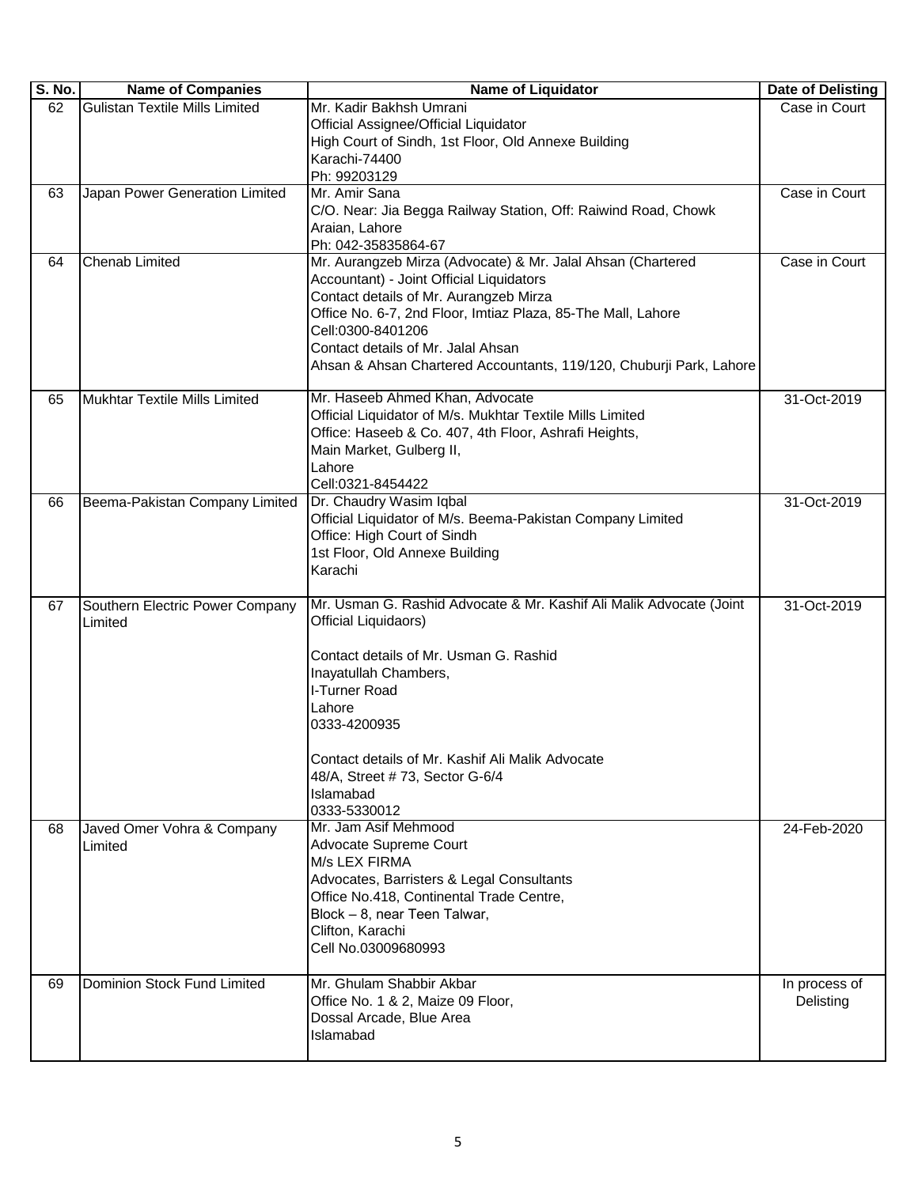| <b>S. No.</b> | <b>Name of Companies</b>        | <b>Name of Liquidator</b>                                                       | Date of Delisting |
|---------------|---------------------------------|---------------------------------------------------------------------------------|-------------------|
| 62            | Gulistan Textile Mills Limited  | Mr. Kadir Bakhsh Umrani                                                         | Case in Court     |
|               |                                 | Official Assignee/Official Liquidator                                           |                   |
|               |                                 | High Court of Sindh, 1st Floor, Old Annexe Building                             |                   |
|               |                                 | Karachi-74400                                                                   |                   |
|               |                                 | Ph: 99203129                                                                    |                   |
| 63            | Japan Power Generation Limited  | Mr. Amir Sana<br>C/O. Near: Jia Begga Railway Station, Off: Raiwind Road, Chowk | Case in Court     |
|               |                                 | Araian, Lahore                                                                  |                   |
|               |                                 | Ph: 042-35835864-67                                                             |                   |
| 64            | <b>Chenab Limited</b>           | Mr. Aurangzeb Mirza (Advocate) & Mr. Jalal Ahsan (Chartered                     | Case in Court     |
|               |                                 | Accountant) - Joint Official Liquidators                                        |                   |
|               |                                 | Contact details of Mr. Aurangzeb Mirza                                          |                   |
|               |                                 | Office No. 6-7, 2nd Floor, Imtiaz Plaza, 85-The Mall, Lahore                    |                   |
|               |                                 | Cell:0300-8401206                                                               |                   |
|               |                                 | Contact details of Mr. Jalal Ahsan                                              |                   |
|               |                                 | Ahsan & Ahsan Chartered Accountants, 119/120, Chuburji Park, Lahore             |                   |
| 65            | Mukhtar Textile Mills Limited   | Mr. Haseeb Ahmed Khan, Advocate                                                 | 31-Oct-2019       |
|               |                                 | Official Liquidator of M/s. Mukhtar Textile Mills Limited                       |                   |
|               |                                 | Office: Haseeb & Co. 407, 4th Floor, Ashrafi Heights,                           |                   |
|               |                                 | Main Market, Gulberg II,                                                        |                   |
|               |                                 | Lahore                                                                          |                   |
|               |                                 | Cell:0321-8454422                                                               |                   |
| 66            | Beema-Pakistan Company Limited  | Dr. Chaudry Wasim Iqbal                                                         | 31-Oct-2019       |
|               |                                 | Official Liquidator of M/s. Beema-Pakistan Company Limited                      |                   |
|               |                                 | Office: High Court of Sindh                                                     |                   |
|               |                                 | 1st Floor, Old Annexe Building                                                  |                   |
|               |                                 | Karachi                                                                         |                   |
| 67            | Southern Electric Power Company | Mr. Usman G. Rashid Advocate & Mr. Kashif Ali Malik Advocate (Joint             | 31-Oct-2019       |
|               | Limited                         | Official Liquidaors)                                                            |                   |
|               |                                 |                                                                                 |                   |
|               |                                 | Contact details of Mr. Usman G. Rashid                                          |                   |
|               |                                 | Inayatullah Chambers,                                                           |                   |
|               |                                 | I-Turner Road                                                                   |                   |
|               |                                 | Lahore                                                                          |                   |
|               |                                 | 0333-4200935                                                                    |                   |
|               |                                 | Contact details of Mr. Kashif Ali Malik Advocate                                |                   |
|               |                                 | 48/A, Street #73, Sector G-6/4                                                  |                   |
|               |                                 | Islamabad                                                                       |                   |
|               |                                 | 0333-5330012                                                                    |                   |
| 68            | Javed Omer Vohra & Company      | Mr. Jam Asif Mehmood                                                            | 24-Feb-2020       |
|               | Limited                         | Advocate Supreme Court                                                          |                   |
|               |                                 | M/s LEX FIRMA                                                                   |                   |
|               |                                 | Advocates, Barristers & Legal Consultants                                       |                   |
|               |                                 | Office No.418, Continental Trade Centre,                                        |                   |
|               |                                 | Block - 8, near Teen Talwar,                                                    |                   |
|               |                                 | Clifton, Karachi<br>Cell No.03009680993                                         |                   |
|               |                                 |                                                                                 |                   |
| 69            | Dominion Stock Fund Limited     | Mr. Ghulam Shabbir Akbar                                                        | In process of     |
|               |                                 | Office No. 1 & 2, Maize 09 Floor,                                               | Delisting         |
|               |                                 | Dossal Arcade, Blue Area                                                        |                   |
|               |                                 | Islamabad                                                                       |                   |
|               |                                 |                                                                                 |                   |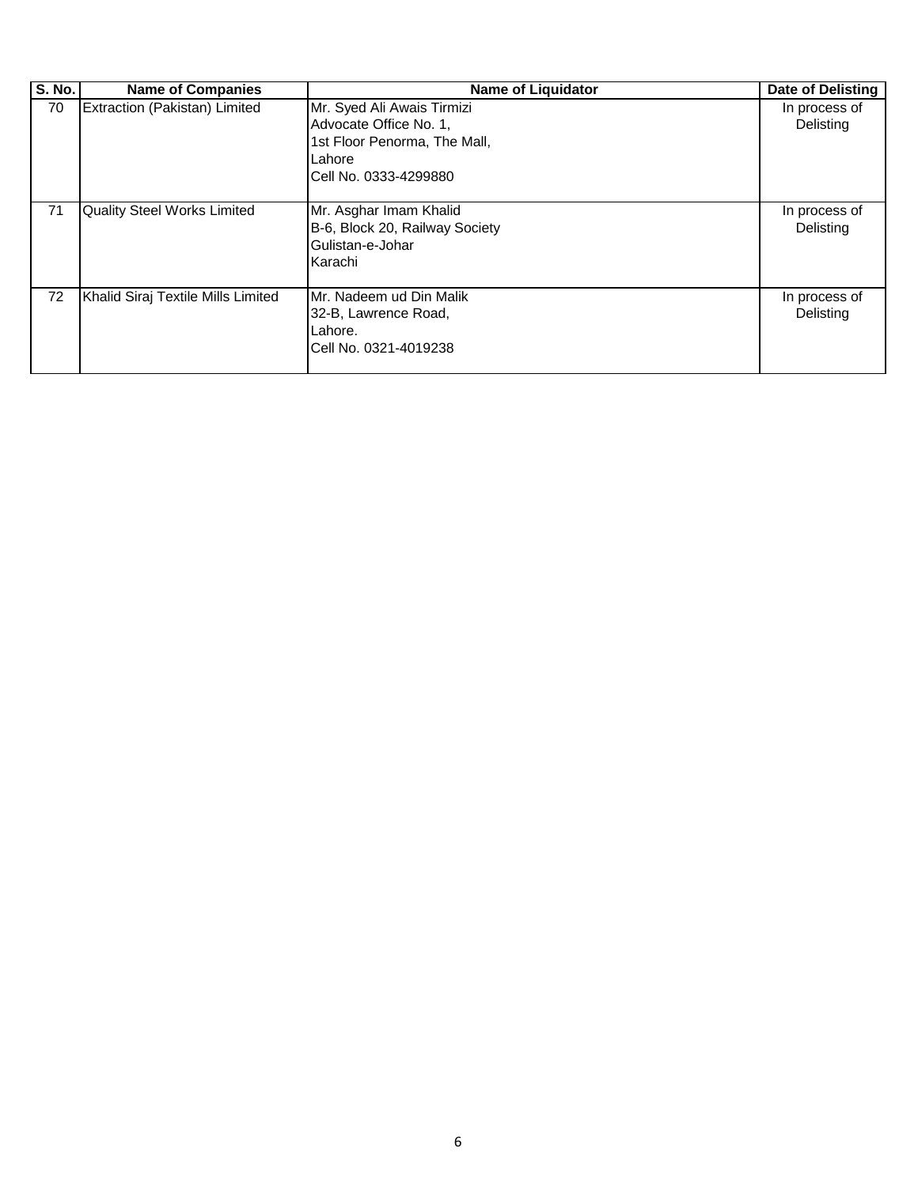| <b>S. No.</b> | <b>Name of Companies</b>           | <b>Name of Liquidator</b>                                                                                               | <b>Date of Delisting</b>   |
|---------------|------------------------------------|-------------------------------------------------------------------------------------------------------------------------|----------------------------|
| 70            | Extraction (Pakistan) Limited      | Mr. Syed Ali Awais Tirmizi<br>Advocate Office No. 1,<br>1st Floor Penorma, The Mall,<br>Lahore<br>Cell No. 0333-4299880 | In process of<br>Delisting |
| 71            | <b>Quality Steel Works Limited</b> | Mr. Asghar Imam Khalid<br>B-6, Block 20, Railway Society<br>Gulistan-e-Johar<br>Karachi                                 | In process of<br>Delisting |
| 72            | Khalid Siraj Textile Mills Limited | IMr. Nadeem ud Din Malik<br>32-B, Lawrence Road,<br>Lahore.<br>Cell No. 0321-4019238                                    | In process of<br>Delisting |